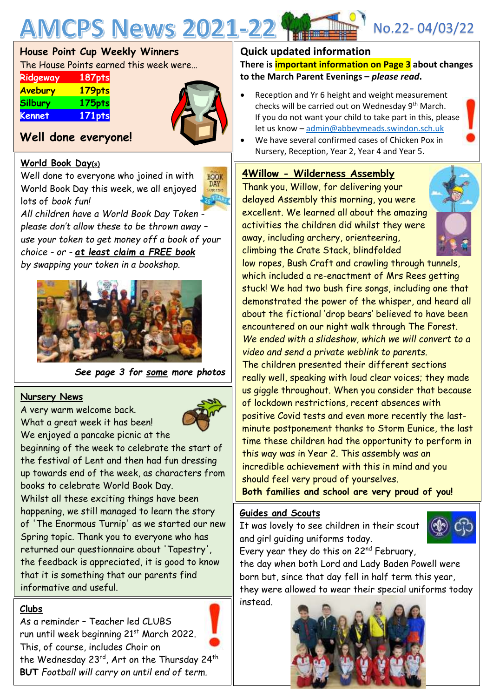

# **House Point Cup Weekly Winners**

The House Points earned this week were…

| Ridgeway       | 187pts    |
|----------------|-----------|
| Avebury        | 179pts    |
| <b>Silbury</b> | 175pts    |
| Kennet         | $171$ pts |



# **Well done everyone!**

## **World Book Day(s)**

Well done to everyone who joined in with World Book Day this week, we all enjoyed lots of *book fun!*



*All children have a World Book Day Token please don't allow these to be thrown away – use your token to get money off a book of your choice - or - at least claim a FREE book by swapping your token in a bookshop.*



*See page 3 for some more photos*

### **Nursery News**

A very warm welcome back. What a great week it has been!

We enjoyed a pancake picnic at the beginning of the week to celebrate the start of

the festival of Lent and then had fun dressing up towards end of the week, as characters from books to celebrate World Book Day.

Whilst all these exciting things have been happening, we still managed to learn the story of 'The Enormous Turnip' as we started our new Spring topic. Thank you to everyone who has returned our questionnaire about 'Tapestry', the feedback is appreciated, it is good to know that it is something that our parents find informative and useful.

# **Clubs**

As a reminder – Teacher led CLUBS run until week beginning 21<sup>st</sup> March 2022. This, of course, includes Choir on

the Wednesday 23<sup>rd</sup>, Art on the Thursday 24<sup>th</sup> **BUT** *Football will carry on until end of term.*

# **Quick updated information**

**There is important information on Page 3 about changes to the March Parent Evenings –** *please read***.**

- Reception and Yr 6 height and weight measurement checks will be carried out on Wednesday 9<sup>th</sup> March. If you do not want your child to take part in this, please let us know – [admin@abbeymeads.swindon.sch.uk](mailto:admin@abbeymeads.swindon.sch.uk)
- We have several confirmed cases of Chicken Pox in Nursery, Reception, Year 2, Year 4 and Year 5.

## **4Willow - Wilderness Assembly**

Thank you, Willow, for delivering your delayed Assembly this morning, you were excellent. We learned all about the amazing activities the children did whilst they were away, including archery, orienteering, climbing the Crate Stack, blindfolded



low ropes, Bush Craft and crawling through tunnels, which included a re-enactment of Mrs Rees getting stuck! We had two bush fire songs, including one that demonstrated the power of the whisper, and heard all about the fictional 'drop bears' believed to have been encountered on our night walk through The Forest. *We ended with a slideshow, which we will convert to a video and send a private weblink to parents.* The children presented their different sections really well, speaking with loud clear voices; they made us giggle throughout. When you consider that because of lockdown restrictions, recent absences with positive Covid tests and even more recently the lastminute postponement thanks to Storm Eunice, the last time these children had the opportunity to perform in this way was in Year 2. This assembly was an incredible achievement with this in mind and you should feel very proud of yourselves.

**Both families and school are very proud of you!**

### **Guides and Scouts**

It was lovely to see children in their scout and girl guiding uniforms today.



Every year they do this on 22<sup>nd</sup> February, the day when both Lord and Lady Baden Powell were

born but, since that day fell in half term this year, they were allowed to wear their special uniforms today instead.

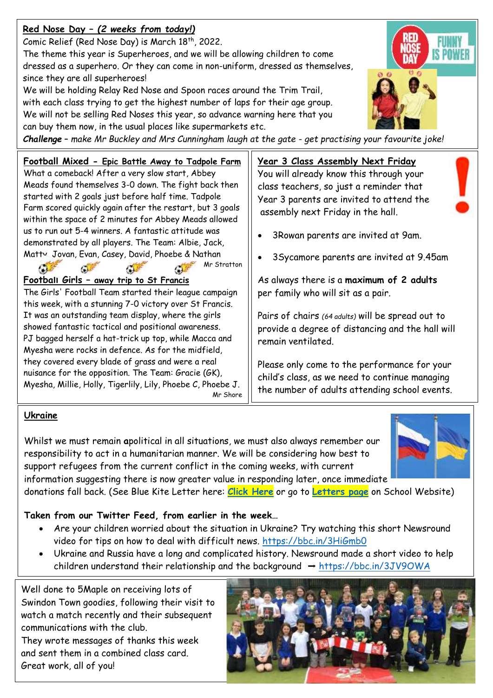# **Red Nose Day –** *(2 weeks from today!)*

Comic Relief (Red Nose Day) is March 18<sup>th</sup>, 2022.

The theme this year is Superheroes, and we will be allowing children to come dressed as a superhero. Or they can come in non-uniform, dressed as themselves, since they are all superheroes!

We will be holding Relay Red Nose and Spoon races around the Trim Trail, with each class trying to get the highest number of laps for their age group. We will not be selling Red Noses this year, so advance warning here that you can buy them now, in the usual places like supermarkets etc.

*Challenge* – *make Mr Buckley and Mrs Cunningham laugh at the gate - get practising your favourite joke!*

# **Football Mixed - Epic Battle Away to Tadpole Farm**

What a comeback! After a very slow start, Abbey Meads found themselves 3-0 down. The fight back then started with 2 goals just before half time. Tadpole Farm scored quickly again after the restart, but 3 goals within the space of 2 minutes for Abbey Meads allowed us to run out 5-4 winners. A fantastic attitude was demonstrated by all players. The Team: Albie, Jack, Matty, Jovan, Evan, Casey, David, Phoebe & Nathan

Mr Stratton

# **Football Girls – away trip to St Francis**

C.

The Girls' Football Team started their league campaign this week, with a stunning 7-0 victory over St Francis. It was an outstanding team display, where the girls showed fantastic tactical and positional awareness. PJ bagged herself a hat-trick up top, while Macca and Myesha were rocks in defence. As for the midfield, they covered every blade of grass and were a real nuisance for the opposition. The Team: Gracie (GK), Myesha, Millie, Holly, Tigerlily, Lily, Phoebe C, Phoebe J.

Mr Shore

# **Ukraine**

**Co.** 

Whilst we must remain **a**political in all situations, we must also always remember our responsibility to act in a humanitarian manner. We will be considering how best to support refugees from the current conflict in the coming weeks, with current information suggesting there is now greater value in responding later, once immediate donations fall back. (See Blue Kite Letter here: **[Click Here](https://www.abbeymeads.swindon.sch.uk/_files/ugd/64c1c7_7925e3df00a34a1d9959b56d410ea8a4.pdf)** or go to **[Letters page](https://www.abbeymeads.swindon.sch.uk/newsletters-and-letters)** on School Website)

# **Taken from our Twitter Feed, from earlier in the week…**

- Are your children worried about the situation in Ukraine? Try watching this short Newsround video for tips on how to deal with difficult news.<https://bbc.in/3HiGmb0>
- Ukraine and Russia have a long and complicated history. Newsround made a short video to help children understand their relationship and the background  $\rightarrow$  <https://bbc.in/3JV9OWA>

Well done to 5Maple on receiving lots of Swindon Town goodies, following their visit to watch a match recently and their subsequent communications with the club. They wrote messages of thanks this week and sent them in a combined class card. Great work, all of you!

# **Year 3 Class Assembly Next Friday**

You will already know this through your class teachers, so just a reminder that Year 3 parents are invited to attend the assembly next Friday in the hall.

- 3Rowan parents are invited at 9am.
- 3Sycamore parents are invited at 9.45am

As always there is a **maximum of 2 adults** per family who will sit as a pair.

Pairs of chairs *(64 adults)* will be spread out to provide a degree of distancing and the hall will remain ventilated.

Please only come to the performance for your child's class, as we need to continue managing the number of adults attending school events.